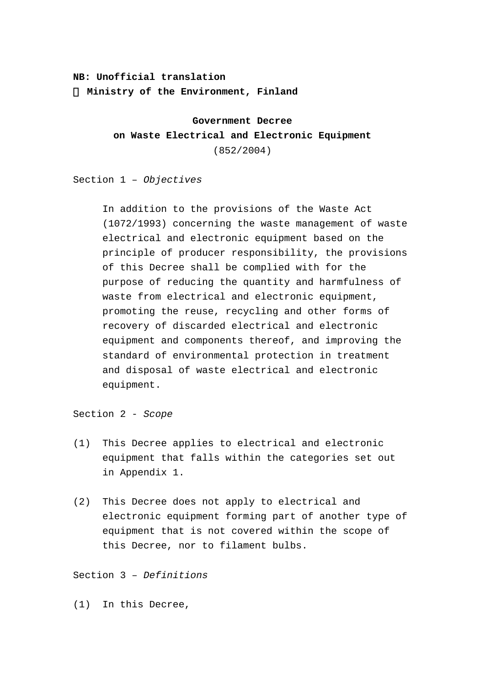# **NB: Unofficial translation Ministry of the Environment, Finland**

**Government Decree on Waste Electrical and Electronic Equipment** (852/2004)

Section 1 – *Objectives*

In addition to the provisions of the Waste Act (1072/1993) concerning the waste management of waste electrical and electronic equipment based on the principle of producer responsibility, the provisions of this Decree shall be complied with for the purpose of reducing the quantity and harmfulness of waste from electrical and electronic equipment, promoting the reuse, recycling and other forms of recovery of discarded electrical and electronic equipment and components thereof, and improving the standard of environmental protection in treatment and disposal of waste electrical and electronic equipment.

Section 2 - *Scope*

- (1) This Decree applies to electrical and electronic equipment that falls within the categories set out in Appendix 1.
- (2) This Decree does not apply to electrical and electronic equipment forming part of another type of equipment that is not covered within the scope of this Decree, nor to filament bulbs.

Section 3 – *Definitions*

(1) In this Decree,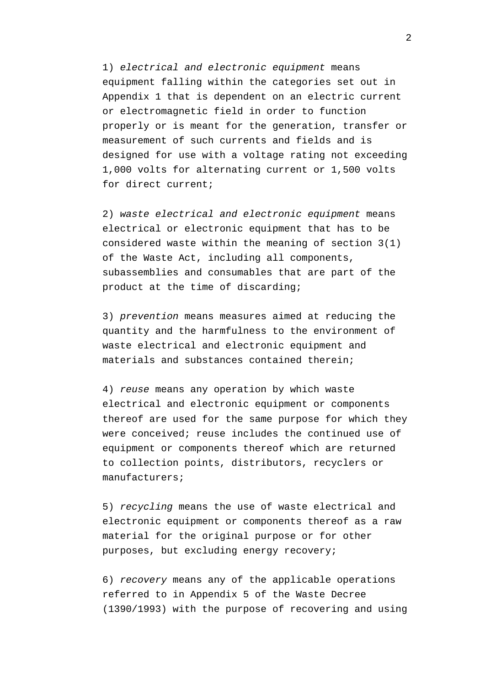1) *electrical and electronic equipment* means equipment falling within the categories set out in Appendix 1 that is dependent on an electric current or electromagnetic field in order to function properly or is meant for the generation, transfer or measurement of such currents and fields and is designed for use with a voltage rating not exceeding 1,000 volts for alternating current or 1,500 volts for direct current;

2) *waste electrical and electronic equipment* means electrical or electronic equipment that has to be considered waste within the meaning of section 3(1) of the Waste Act, including all components, subassemblies and consumables that are part of the product at the time of discarding;

3) *prevention* means measures aimed at reducing the quantity and the harmfulness to the environment of waste electrical and electronic equipment and materials and substances contained therein;

4) *reuse* means any operation by which waste electrical and electronic equipment or components thereof are used for the same purpose for which they were conceived; reuse includes the continued use of equipment or components thereof which are returned to collection points, distributors, recyclers or manufacturers;

5) *recycling* means the use of waste electrical and electronic equipment or components thereof as a raw material for the original purpose or for other purposes, but excluding energy recovery;

6) *recovery* means any of the applicable operations referred to in Appendix 5 of the Waste Decree (1390/1993) with the purpose of recovering and using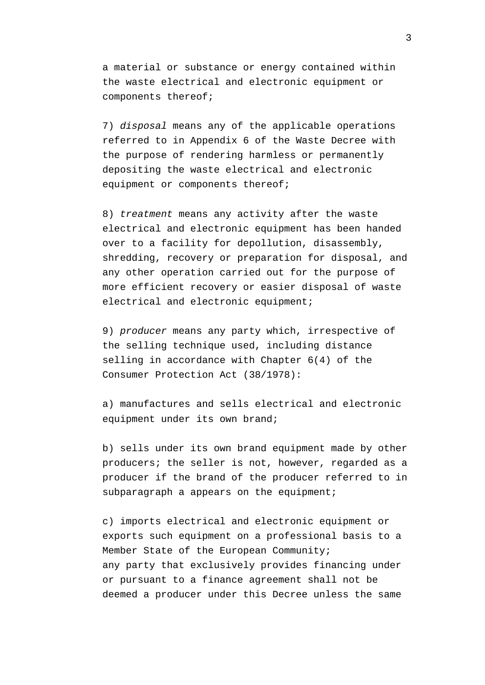a material or substance or energy contained within the waste electrical and electronic equipment or components thereof;

7) *disposal* means any of the applicable operations referred to in Appendix 6 of the Waste Decree with the purpose of rendering harmless or permanently depositing the waste electrical and electronic equipment or components thereof;

8) *treatment* means any activity after the waste electrical and electronic equipment has been handed over to a facility for depollution, disassembly, shredding, recovery or preparation for disposal, and any other operation carried out for the purpose of more efficient recovery or easier disposal of waste electrical and electronic equipment;

9) *producer* means any party which, irrespective of the selling technique used, including distance selling in accordance with Chapter 6(4) of the Consumer Protection Act (38/1978):

a) manufactures and sells electrical and electronic equipment under its own brand;

b) sells under its own brand equipment made by other producers; the seller is not, however, regarded as a producer if the brand of the producer referred to in subparagraph a appears on the equipment;

c) imports electrical and electronic equipment or exports such equipment on a professional basis to a Member State of the European Community; any party that exclusively provides financing under or pursuant to a finance agreement shall not be deemed a producer under this Decree unless the same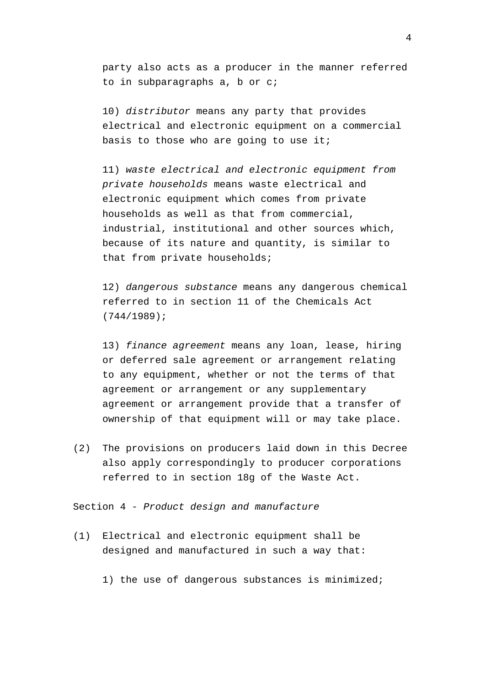party also acts as a producer in the manner referred to in subparagraphs a, b or c;

10) *distributor* means any party that provides electrical and electronic equipment on a commercial basis to those who are going to use it;

11) *waste electrical and electronic equipment from private households* means waste electrical and electronic equipment which comes from private households as well as that from commercial, industrial, institutional and other sources which, because of its nature and quantity, is similar to that from private households;

12) *dangerous substance* means any dangerous chemical referred to in section 11 of the Chemicals Act (744/1989);

13) *finance agreement* means any loan, lease, hiring or deferred sale agreement or arrangement relating to any equipment, whether or not the terms of that agreement or arrangement or any supplementary agreement or arrangement provide that a transfer of ownership of that equipment will or may take place.

(2) The provisions on producers laid down in this Decree also apply correspondingly to producer corporations referred to in section 18g of the Waste Act.

Section 4 - *Product design and manufacture*

- (1) Electrical and electronic equipment shall be designed and manufactured in such a way that:
	- 1) the use of dangerous substances is minimized;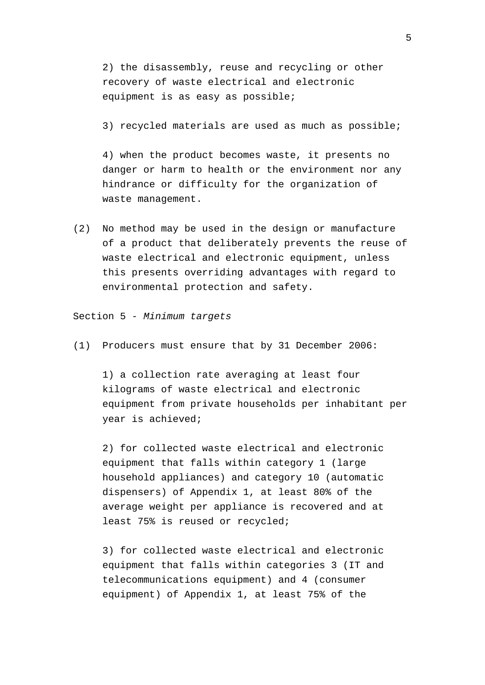2) the disassembly, reuse and recycling or other recovery of waste electrical and electronic equipment is as easy as possible;

3) recycled materials are used as much as possible;

4) when the product becomes waste, it presents no danger or harm to health or the environment nor any hindrance or difficulty for the organization of waste management.

(2) No method may be used in the design or manufacture of a product that deliberately prevents the reuse of waste electrical and electronic equipment, unless this presents overriding advantages with regard to environmental protection and safety.

Section 5 - *Minimum targets*

(1) Producers must ensure that by 31 December 2006:

1) a collection rate averaging at least four kilograms of waste electrical and electronic equipment from private households per inhabitant per year is achieved;

2) for collected waste electrical and electronic equipment that falls within category 1 (large household appliances) and category 10 (automatic dispensers) of Appendix 1, at least 80% of the average weight per appliance is recovered and at least 75% is reused or recycled;

3) for collected waste electrical and electronic equipment that falls within categories 3 (IT and telecommunications equipment) and 4 (consumer equipment) of Appendix 1, at least 75% of the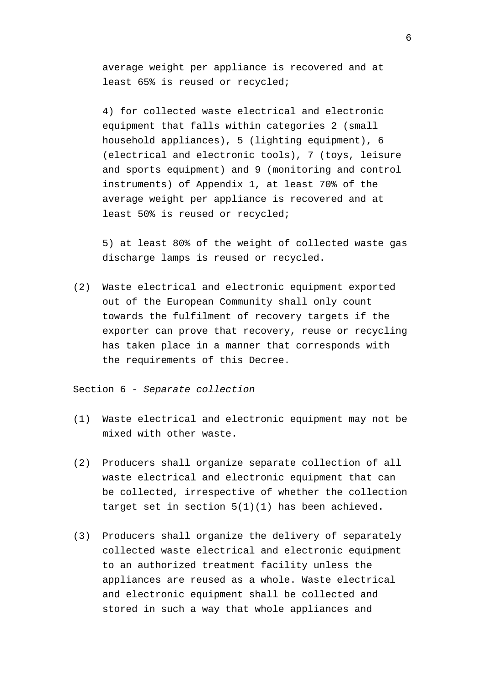average weight per appliance is recovered and at least 65% is reused or recycled;

4) for collected waste electrical and electronic equipment that falls within categories 2 (small household appliances), 5 (lighting equipment), 6 (electrical and electronic tools), 7 (toys, leisure and sports equipment) and 9 (monitoring and control instruments) of Appendix 1, at least 70% of the average weight per appliance is recovered and at least 50% is reused or recycled;

5) at least 80% of the weight of collected waste gas discharge lamps is reused or recycled.

(2) Waste electrical and electronic equipment exported out of the European Community shall only count towards the fulfilment of recovery targets if the exporter can prove that recovery, reuse or recycling has taken place in a manner that corresponds with the requirements of this Decree.

Section 6 - *Separate collection*

- (1) Waste electrical and electronic equipment may not be mixed with other waste.
- (2) Producers shall organize separate collection of all waste electrical and electronic equipment that can be collected, irrespective of whether the collection target set in section  $5(1)(1)$  has been achieved.
- (3) Producers shall organize the delivery of separately collected waste electrical and electronic equipment to an authorized treatment facility unless the appliances are reused as a whole. Waste electrical and electronic equipment shall be collected and stored in such a way that whole appliances and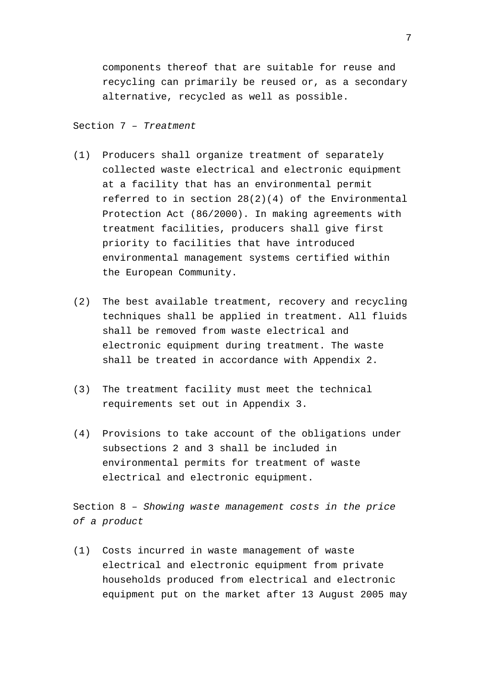components thereof that are suitable for reuse and recycling can primarily be reused or, as a secondary alternative, recycled as well as possible.

### Section 7 – *Treatment*

- (1) Producers shall organize treatment of separately collected waste electrical and electronic equipment at a facility that has an environmental permit referred to in section 28(2)(4) of the Environmental Protection Act (86/2000). In making agreements with treatment facilities, producers shall give first priority to facilities that have introduced environmental management systems certified within the European Community.
- (2) The best available treatment, recovery and recycling techniques shall be applied in treatment. All fluids shall be removed from waste electrical and electronic equipment during treatment. The waste shall be treated in accordance with Appendix 2.
- (3) The treatment facility must meet the technical requirements set out in Appendix 3.
- (4) Provisions to take account of the obligations under subsections 2 and 3 shall be included in environmental permits for treatment of waste electrical and electronic equipment.

Section 8 – *Showing waste management costs in the price of a product*

(1) Costs incurred in waste management of waste electrical and electronic equipment from private households produced from electrical and electronic equipment put on the market after 13 August 2005 may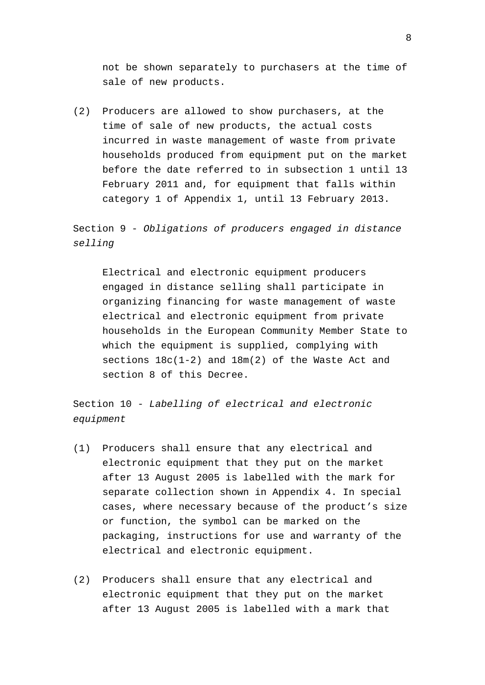not be shown separately to purchasers at the time of sale of new products.

(2) Producers are allowed to show purchasers, at the time of sale of new products, the actual costs incurred in waste management of waste from private households produced from equipment put on the market before the date referred to in subsection 1 until 13 February 2011 and, for equipment that falls within category 1 of Appendix 1, until 13 February 2013.

Section 9 - *Obligations of producers engaged in distance selling*

Electrical and electronic equipment producers engaged in distance selling shall participate in organizing financing for waste management of waste electrical and electronic equipment from private households in the European Community Member State to which the equipment is supplied, complying with sections 18c(1-2) and 18m(2) of the Waste Act and section 8 of this Decree.

Section 10 - *Labelling of electrical and electronic equipment*

- (1) Producers shall ensure that any electrical and electronic equipment that they put on the market after 13 August 2005 is labelled with the mark for separate collection shown in Appendix 4. In special cases, where necessary because of the product's size or function, the symbol can be marked on the packaging, instructions for use and warranty of the electrical and electronic equipment.
- (2) Producers shall ensure that any electrical and electronic equipment that they put on the market after 13 August 2005 is labelled with a mark that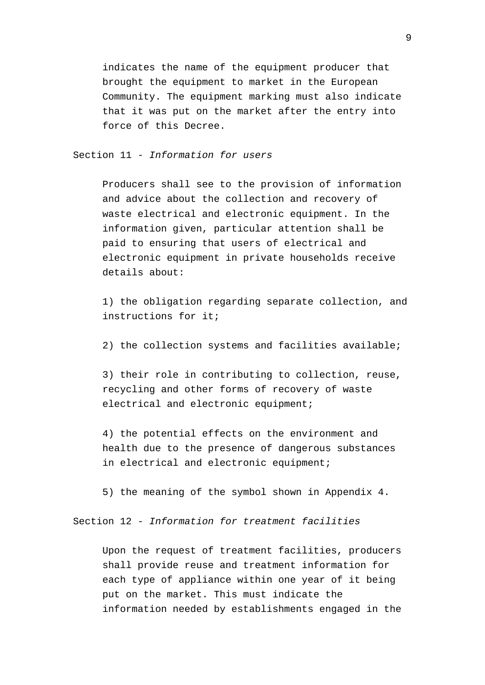indicates the name of the equipment producer that brought the equipment to market in the European Community. The equipment marking must also indicate that it was put on the market after the entry into force of this Decree.

Section 11 - *Information for users*

Producers shall see to the provision of information and advice about the collection and recovery of waste electrical and electronic equipment. In the information given, particular attention shall be paid to ensuring that users of electrical and electronic equipment in private households receive details about:

1) the obligation regarding separate collection, and instructions for it;

2) the collection systems and facilities available;

3) their role in contributing to collection, reuse, recycling and other forms of recovery of waste electrical and electronic equipment;

4) the potential effects on the environment and health due to the presence of dangerous substances in electrical and electronic equipment;

5) the meaning of the symbol shown in Appendix 4.

Section 12 - *Information for treatment facilities*

Upon the request of treatment facilities, producers shall provide reuse and treatment information for each type of appliance within one year of it being put on the market. This must indicate the information needed by establishments engaged in the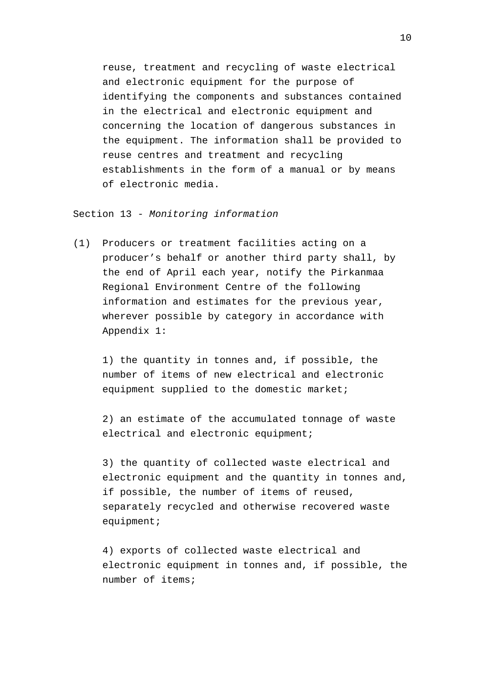reuse, treatment and recycling of waste electrical and electronic equipment for the purpose of identifying the components and substances contained in the electrical and electronic equipment and concerning the location of dangerous substances in the equipment. The information shall be provided to reuse centres and treatment and recycling establishments in the form of a manual or by means of electronic media.

Section 13 - *Monitoring information*

(1) Producers or treatment facilities acting on a producer's behalf or another third party shall, by the end of April each year, notify the Pirkanmaa Regional Environment Centre of the following information and estimates for the previous year, wherever possible by category in accordance with Appendix 1:

1) the quantity in tonnes and, if possible, the number of items of new electrical and electronic equipment supplied to the domestic market;

2) an estimate of the accumulated tonnage of waste electrical and electronic equipment;

3) the quantity of collected waste electrical and electronic equipment and the quantity in tonnes and, if possible, the number of items of reused, separately recycled and otherwise recovered waste equipment;

4) exports of collected waste electrical and electronic equipment in tonnes and, if possible, the number of items;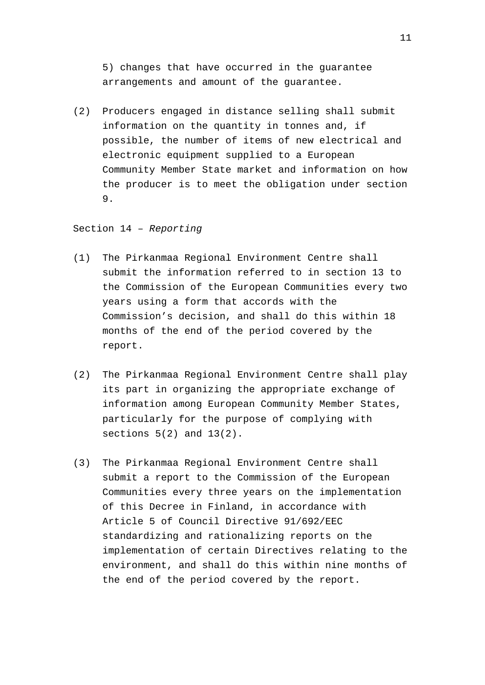5) changes that have occurred in the guarantee arrangements and amount of the guarantee.

(2) Producers engaged in distance selling shall submit information on the quantity in tonnes and, if possible, the number of items of new electrical and electronic equipment supplied to a European Community Member State market and information on how the producer is to meet the obligation under section 9.

Section 14 – *Reporting*

- (1) The Pirkanmaa Regional Environment Centre shall submit the information referred to in section 13 to the Commission of the European Communities every two years using a form that accords with the Commission's decision, and shall do this within 18 months of the end of the period covered by the report.
- (2) The Pirkanmaa Regional Environment Centre shall play its part in organizing the appropriate exchange of information among European Community Member States, particularly for the purpose of complying with sections  $5(2)$  and  $13(2)$ .
- (3) The Pirkanmaa Regional Environment Centre shall submit a report to the Commission of the European Communities every three years on the implementation of this Decree in Finland, in accordance with Article 5 of Council Directive 91/692/EEC standardizing and rationalizing reports on the implementation of certain Directives relating to the environment, and shall do this within nine months of the end of the period covered by the report.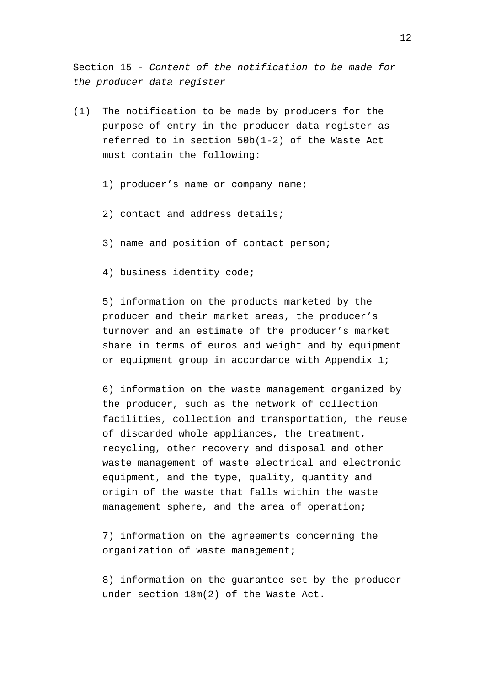Section 15 - *Content of the notification to be made for the producer data register*

- (1) The notification to be made by producers for the purpose of entry in the producer data register as referred to in section 50b(1-2) of the Waste Act must contain the following:
	- 1) producer's name or company name;
	- 2) contact and address details;
	- 3) name and position of contact person;
	- 4) business identity code;

5) information on the products marketed by the producer and their market areas, the producer's turnover and an estimate of the producer's market share in terms of euros and weight and by equipment or equipment group in accordance with Appendix 1;

6) information on the waste management organized by the producer, such as the network of collection facilities, collection and transportation, the reuse of discarded whole appliances, the treatment, recycling, other recovery and disposal and other waste management of waste electrical and electronic equipment, and the type, quality, quantity and origin of the waste that falls within the waste management sphere, and the area of operation;

7) information on the agreements concerning the organization of waste management;

8) information on the guarantee set by the producer under section 18m(2) of the Waste Act.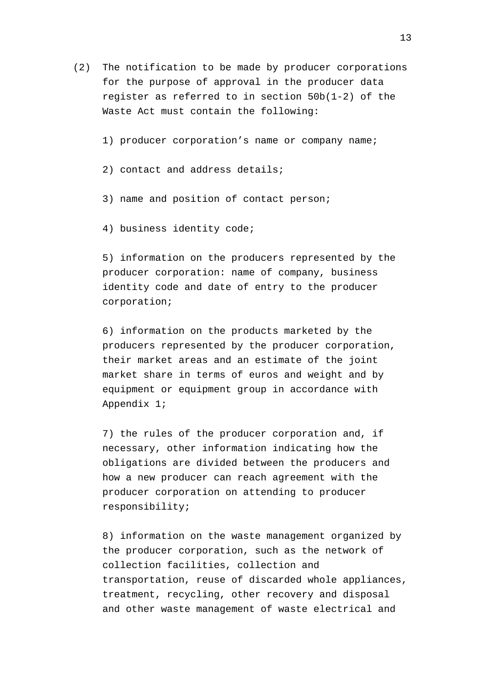- (2) The notification to be made by producer corporations for the purpose of approval in the producer data register as referred to in section 50b(1-2) of the Waste Act must contain the following:
	- 1) producer corporation's name or company name;
	- 2) contact and address details;
	- 3) name and position of contact person;
	- 4) business identity code;

5) information on the producers represented by the producer corporation: name of company, business identity code and date of entry to the producer corporation;

6) information on the products marketed by the producers represented by the producer corporation, their market areas and an estimate of the joint market share in terms of euros and weight and by equipment or equipment group in accordance with Appendix 1;

7) the rules of the producer corporation and, if necessary, other information indicating how the obligations are divided between the producers and how a new producer can reach agreement with the producer corporation on attending to producer responsibility;

8) information on the waste management organized by the producer corporation, such as the network of collection facilities, collection and transportation, reuse of discarded whole appliances, treatment, recycling, other recovery and disposal and other waste management of waste electrical and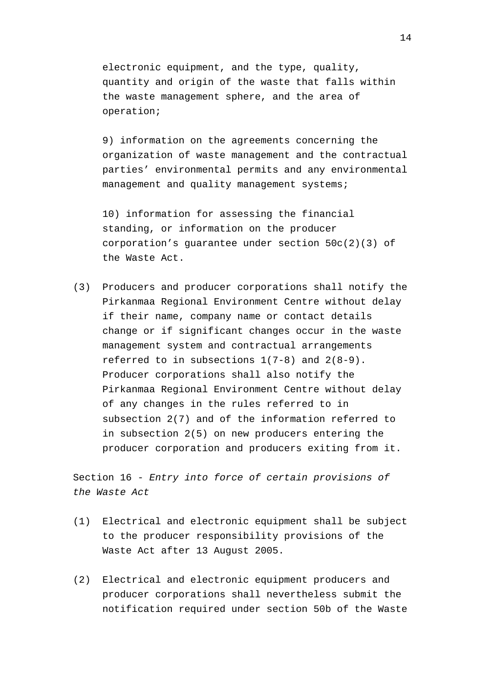electronic equipment, and the type, quality, quantity and origin of the waste that falls within the waste management sphere, and the area of operation;

9) information on the agreements concerning the organization of waste management and the contractual parties' environmental permits and any environmental management and quality management systems;

10) information for assessing the financial standing, or information on the producer corporation's guarantee under section 50c(2)(3) of the Waste Act.

(3) Producers and producer corporations shall notify the Pirkanmaa Regional Environment Centre without delay if their name, company name or contact details change or if significant changes occur in the waste management system and contractual arrangements referred to in subsections 1(7-8) and 2(8-9). Producer corporations shall also notify the Pirkanmaa Regional Environment Centre without delay of any changes in the rules referred to in subsection 2(7) and of the information referred to in subsection 2(5) on new producers entering the producer corporation and producers exiting from it.

Section 16 - *Entry into force of certain provisions of the Waste Act*

- (1) Electrical and electronic equipment shall be subject to the producer responsibility provisions of the Waste Act after 13 August 2005.
- (2) Electrical and electronic equipment producers and producer corporations shall nevertheless submit the notification required under section 50b of the Waste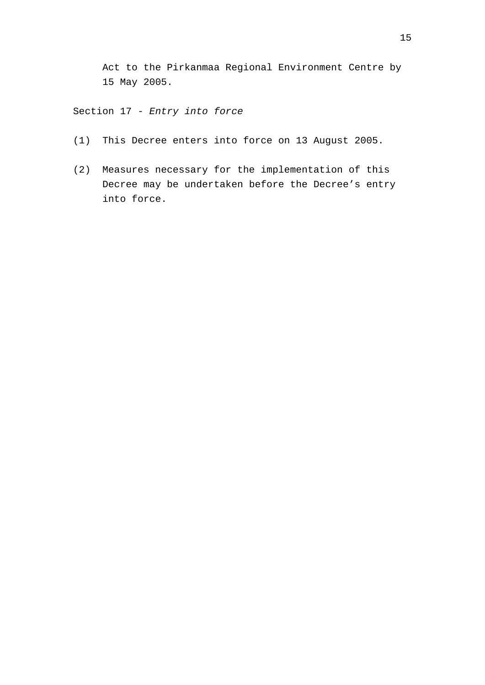Act to the Pirkanmaa Regional Environment Centre by 15 May 2005.

Section 17 - *Entry into force*

- (1) This Decree enters into force on 13 August 2005.
- (2) Measures necessary for the implementation of this Decree may be undertaken before the Decree's entry into force.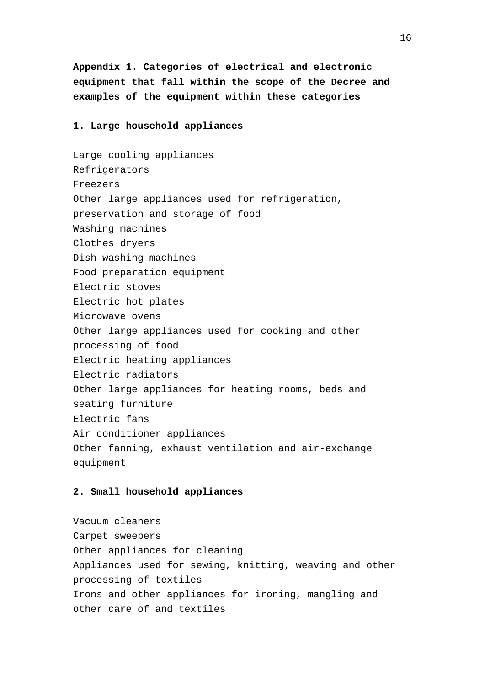**Appendix 1. Categories of electrical and electronic equipment that fall within the scope of the Decree and examples of the equipment within these categories**

#### **1. Large household appliances**

Large cooling appliances Refrigerators Freezers Other large appliances used for refrigeration, preservation and storage of food Washing machines Clothes dryers Dish washing machines Food preparation equipment Electric stoves Electric hot plates Microwave ovens Other large appliances used for cooking and other processing of food Electric heating appliances Electric radiators Other large appliances for heating rooms, beds and seating furniture Electric fans Air conditioner appliances Other fanning, exhaust ventilation and air-exchange equipment

#### **2. Small household appliances**

Vacuum cleaners Carpet sweepers Other appliances for cleaning Appliances used for sewing, knitting, weaving and other processing of textiles Irons and other appliances for ironing, mangling and other care of and textiles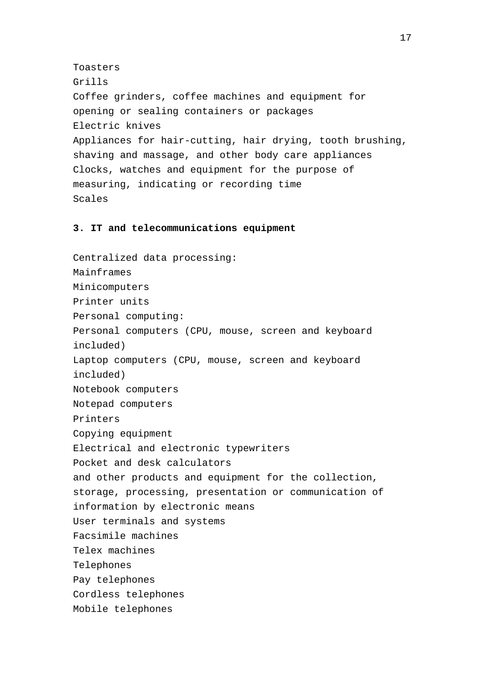Toasters Grills Coffee grinders, coffee machines and equipment for opening or sealing containers or packages Electric knives Appliances for hair-cutting, hair drying, tooth brushing, shaving and massage, and other body care appliances Clocks, watches and equipment for the purpose of measuring, indicating or recording time Scales

### **3. IT and telecommunications equipment**

Centralized data processing: Mainframes Minicomputers Printer units Personal computing: Personal computers (CPU, mouse, screen and keyboard included) Laptop computers (CPU, mouse, screen and keyboard included) Notebook computers Notepad computers Printers Copying equipment Electrical and electronic typewriters Pocket and desk calculators and other products and equipment for the collection, storage, processing, presentation or communication of information by electronic means User terminals and systems Facsimile machines Telex machines Telephones Pay telephones Cordless telephones Mobile telephones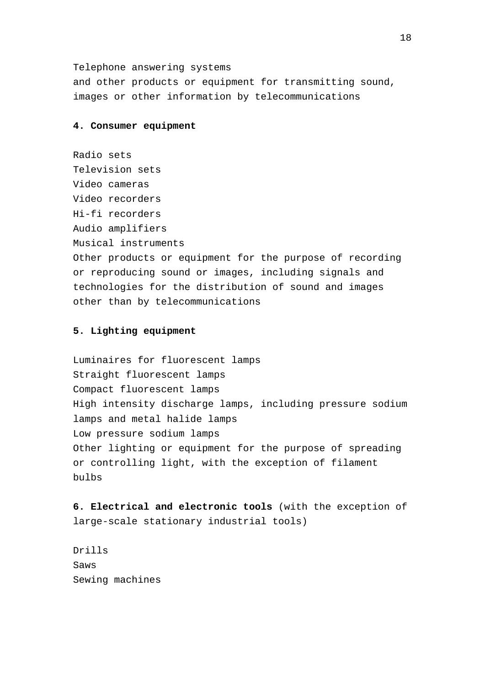Telephone answering systems

and other products or equipment for transmitting sound, images or other information by telecommunications

#### **4. Consumer equipment**

Radio sets Television sets Video cameras Video recorders Hi-fi recorders Audio amplifiers Musical instruments Other products or equipment for the purpose of recording or reproducing sound or images, including signals and technologies for the distribution of sound and images other than by telecommunications

### **5. Lighting equipment**

Luminaires for fluorescent lamps Straight fluorescent lamps Compact fluorescent lamps High intensity discharge lamps, including pressure sodium lamps and metal halide lamps Low pressure sodium lamps Other lighting or equipment for the purpose of spreading or controlling light, with the exception of filament bulbs

**6. Electrical and electronic tools** (with the exception of large-scale stationary industrial tools)

Drills Saws Sewing machines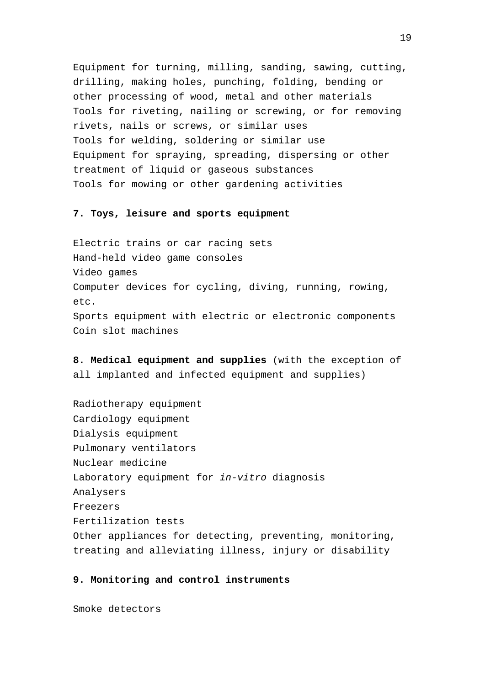Equipment for turning, milling, sanding, sawing, cutting, drilling, making holes, punching, folding, bending or other processing of wood, metal and other materials Tools for riveting, nailing or screwing, or for removing rivets, nails or screws, or similar uses Tools for welding, soldering or similar use Equipment for spraying, spreading, dispersing or other treatment of liquid or gaseous substances Tools for mowing or other gardening activities

#### **7. Toys, leisure and sports equipment**

Electric trains or car racing sets Hand-held video game consoles Video games Computer devices for cycling, diving, running, rowing, etc. Sports equipment with electric or electronic components Coin slot machines

**8. Medical equipment and supplies** (with the exception of all implanted and infected equipment and supplies)

Radiotherapy equipment Cardiology equipment Dialysis equipment Pulmonary ventilators Nuclear medicine Laboratory equipment for *in-vitro* diagnosis Analysers Freezers Fertilization tests Other appliances for detecting, preventing, monitoring, treating and alleviating illness, injury or disability

#### **9. Monitoring and control instruments**

Smoke detectors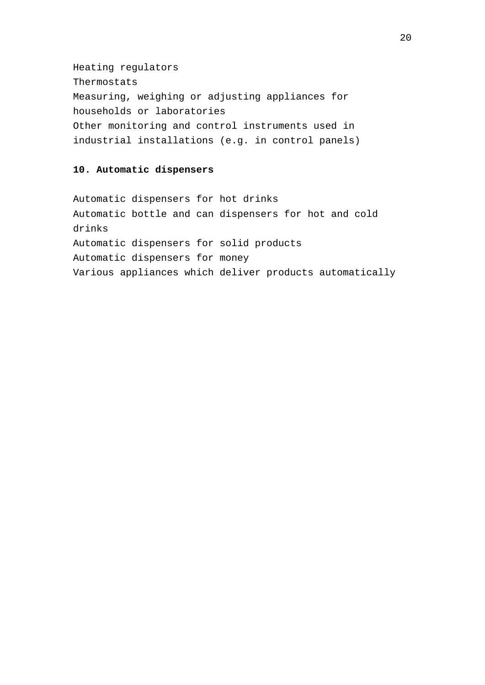Heating regulators Thermostats Measuring, weighing or adjusting appliances for households or laboratories Other monitoring and control instruments used in industrial installations (e.g. in control panels)

## **10. Automatic dispensers**

Automatic dispensers for hot drinks Automatic bottle and can dispensers for hot and cold drinks Automatic dispensers for solid products Automatic dispensers for money Various appliances which deliver products automatically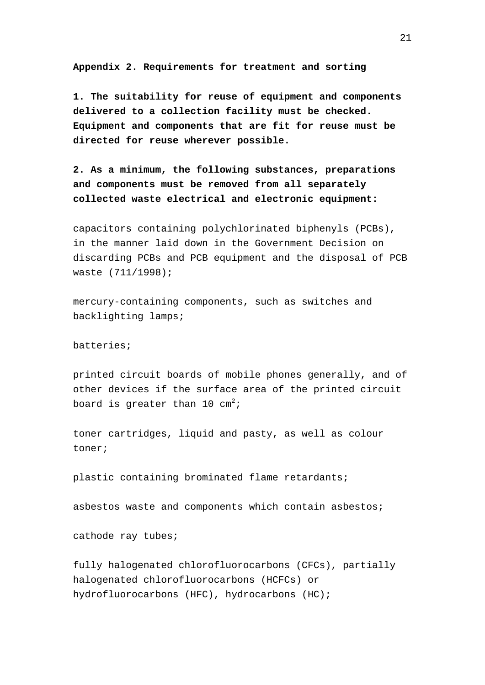**Appendix 2. Requirements for treatment and sorting**

**1. The suitability for reuse of equipment and components delivered to a collection facility must be checked. Equipment and components that are fit for reuse must be directed for reuse wherever possible.**

**2. As a minimum, the following substances, preparations and components must be removed from all separately collected waste electrical and electronic equipment:**

capacitors containing polychlorinated biphenyls (PCBs), in the manner laid down in the Government Decision on discarding PCBs and PCB equipment and the disposal of PCB waste (711/1998);

mercury-containing components, such as switches and backlighting lamps;

### batteries;

printed circuit boards of mobile phones generally, and of other devices if the surface area of the printed circuit board is greater than 10  $cm<sup>2</sup>$ ;

toner cartridges, liquid and pasty, as well as colour toner;

plastic containing brominated flame retardants;

asbestos waste and components which contain asbestos;

cathode ray tubes;

fully halogenated chlorofluorocarbons (CFCs), partially halogenated chlorofluorocarbons (HCFCs) or hydrofluorocarbons (HFC), hydrocarbons (HC);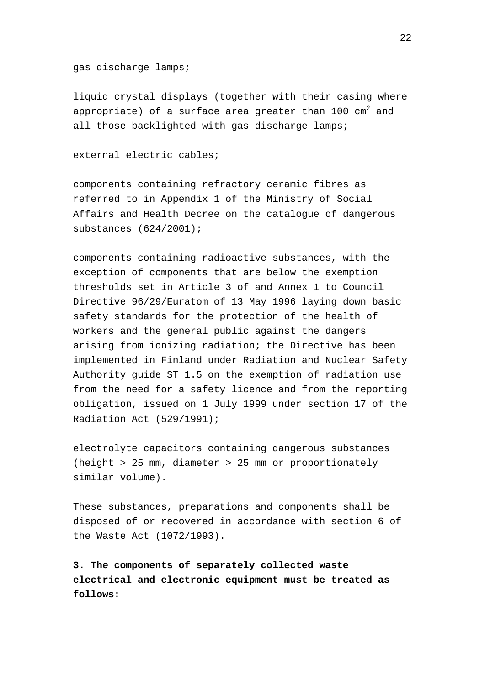gas discharge lamps;

liquid crystal displays (together with their casing where appropriate) of a surface area greater than  $100 \text{ cm}^2$  and all those backlighted with gas discharge lamps;

external electric cables;

components containing refractory ceramic fibres as referred to in Appendix 1 of the Ministry of Social Affairs and Health Decree on the catalogue of dangerous substances (624/2001);

components containing radioactive substances, with the exception of components that are below the exemption thresholds set in Article 3 of and Annex 1 to Council Directive 96/29/Euratom of 13 May 1996 laying down basic safety standards for the protection of the health of workers and the general public against the dangers arising from ionizing radiation; the Directive has been implemented in Finland under Radiation and Nuclear Safety Authority guide ST 1.5 on the exemption of radiation use from the need for a safety licence and from the reporting obligation, issued on 1 July 1999 under section 17 of the Radiation Act (529/1991);

electrolyte capacitors containing dangerous substances (height > 25 mm, diameter > 25 mm or proportionately similar volume).

These substances, preparations and components shall be disposed of or recovered in accordance with section 6 of the Waste Act (1072/1993).

**3. The components of separately collected waste electrical and electronic equipment must be treated as follows:**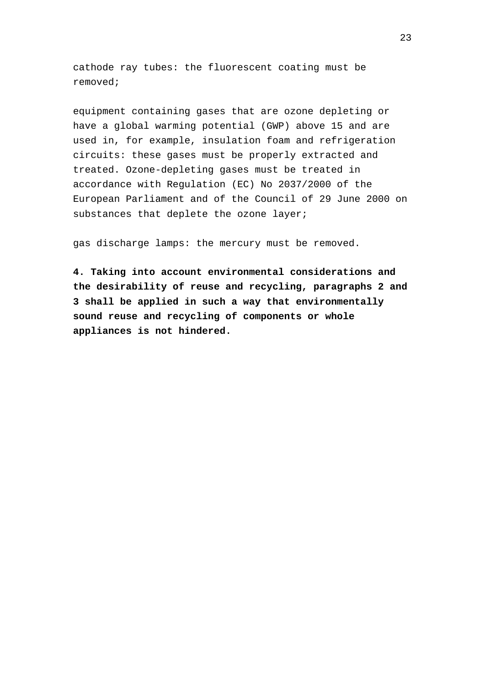cathode ray tubes: the fluorescent coating must be removed;

equipment containing gases that are ozone depleting or have a global warming potential (GWP) above 15 and are used in, for example, insulation foam and refrigeration circuits: these gases must be properly extracted and treated. Ozone-depleting gases must be treated in accordance with Regulation (EC) No 2037/2000 of the European Parliament and of the Council of 29 June 2000 on substances that deplete the ozone layer;

gas discharge lamps: the mercury must be removed.

**4. Taking into account environmental considerations and the desirability of reuse and recycling, paragraphs 2 and 3 shall be applied in such a way that environmentally sound reuse and recycling of components or whole appliances is not hindered.**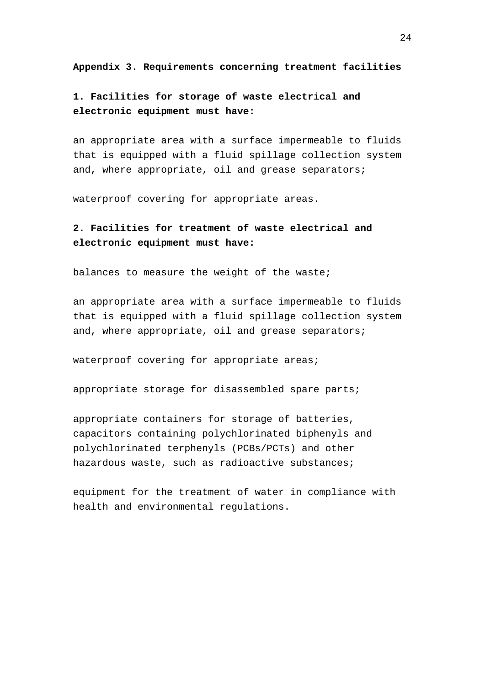**Appendix 3. Requirements concerning treatment facilities**

**1. Facilities for storage of waste electrical and electronic equipment must have:**

an appropriate area with a surface impermeable to fluids that is equipped with a fluid spillage collection system and, where appropriate, oil and grease separators;

waterproof covering for appropriate areas.

# **2. Facilities for treatment of waste electrical and electronic equipment must have:**

balances to measure the weight of the waste;

an appropriate area with a surface impermeable to fluids that is equipped with a fluid spillage collection system and, where appropriate, oil and grease separators;

waterproof covering for appropriate areas;

appropriate storage for disassembled spare parts;

appropriate containers for storage of batteries, capacitors containing polychlorinated biphenyls and polychlorinated terphenyls (PCBs/PCTs) and other hazardous waste, such as radioactive substances;

equipment for the treatment of water in compliance with health and environmental regulations.